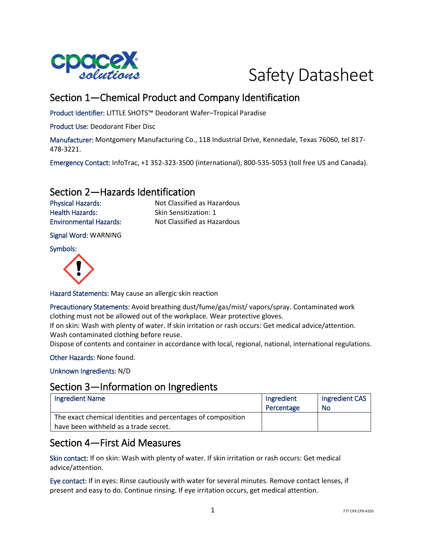



# Section 1—Chemical Product and Company Identification

Product Identifier: LITTLE SHOTS™ Deodorant Wafer–Tropical Paradise

Product Use: Deodorant Fiber Disc

Manufacturer: Montgomery Manufacturing Co., 118 Industrial Drive, Kennedale, Texas 76060, tel 817- 478-3221.

Emergency Contact: InfoTrac, +1 352-323-3500 (international), 800-535-5053 (toll free US and Canada).

### Section 2—Hazards Identification

Health Hazards: Skin Sensitization: 1

Physical Hazards: Not Classified as Hazardous Environmental Hazards: Not Classified as Hazardous

Signal Word: WARNING

Symbols:



Hazard Statements: May cause an allergic skin reaction

Precautionary Statements: Avoid breathing dust/fume/gas/mist/ vapors/spray. Contaminated work clothing must not be allowed out of the workplace. Wear protective gloves.

If on skin: Wash with plenty of water. If skin irritation or rash occurs: Get medical advice/attention. Wash contaminated clothing before reuse.

Dispose of contents and container in accordance with local, regional, national, international regulations.

Other Hazards: None found.

Unknown Ingredients: N/D

### Section 3—Information on Ingredients

| <b>Ingredient Name</b>                                       | Ingredient | Ingredient CAS |
|--------------------------------------------------------------|------------|----------------|
|                                                              | Percentage | No             |
| The exact chemical identities and percentages of composition |            |                |
| have been withheld as a trade secret.                        |            |                |

## Section 4—First Aid Measures

Skin contact: If on skin: Wash with plenty of water. If skin irritation or rash occurs: Get medical advice/attention.

Eye contact: If in eyes: Rinse cautiously with water for several minutes. Remove contact lenses, if present and easy to do. Continue rinsing. If eye irritation occurs, get medical attention.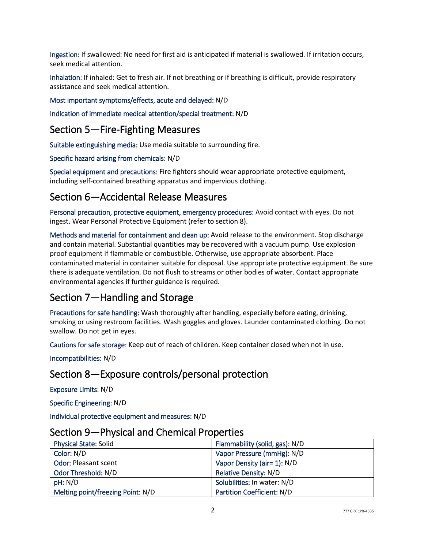Ingestion: If swallowed: No need for first aid is anticipated if material is swallowed. If irritation occurs, seek medical attention.

Inhalation: If inhaled: Get to fresh air. If not breathing or if breathing is difficult, provide respiratory assistance and seek medical attention.

#### Most important symptoms/effects, acute and delayed: N/D

Indication of immediate medical attention/special treatment: N/D

## Section 5—Fire-Fighting Measures

Suitable extinguishing media: Use media suitable to surrounding fire.

Specific hazard arising from chemicals: N/D

Special equipment and precautions: Fire fighters should wear appropriate protective equipment, including self-contained breathing apparatus and impervious clothing.

## Section 6—Accidental Release Measures

Personal precaution, protective equipment, emergency procedures: Avoid contact with eyes. Do not ingest. Wear Personal Protective Equipment (refer to section 8).

Methods and material for containment and clean up: Avoid release to the environment. Stop discharge and contain material. Substantial quantities may be recovered with a vacuum pump. Use explosion proof equipment if flammable or combustible. Otherwise, use appropriate absorbent. Place contaminated material in container suitable for disposal. Use appropriate protective equipment. Be sure there is adequate ventilation. Do not flush to streams or other bodies of water. Contact appropriate environmental agencies if further guidance is required.

## Section 7—Handling and Storage

Precautions for safe handling: Wash thoroughly after handling, especially before eating, drinking, smoking or using restroom facilities. Wash goggles and gloves. Launder contaminated clothing. Do not swallow. Do not get in eyes.

Cautions for safe storage: Keep out of reach of children. Keep container closed when not in use.

Incompatibilities: N/D

## Section 8—Exposure controls/personal protection

Exposure Limits: N/D

Specific Engineering: N/D

Individual protective equipment and measures: N/D

| <u>Jechon Jean Hilysical and Chemical Hopernes</u> |                                   |
|----------------------------------------------------|-----------------------------------|
| <b>Physical State: Solid</b>                       | Flammability (solid, gas): N/D    |
| Color: N/D                                         | Vapor Pressure (mmHg): N/D        |
| <b>Odor: Pleasant scent</b>                        | Vapor Density (air= 1): N/D       |
| Odor Threshold: N/D                                | <b>Relative Density: N/D</b>      |
| pH: N/D                                            | Solubilities: In water: N/D       |
| Melting point/freezing Point: N/D                  | <b>Partition Coefficient: N/D</b> |

#### Section 9—Physical and Chemical Properties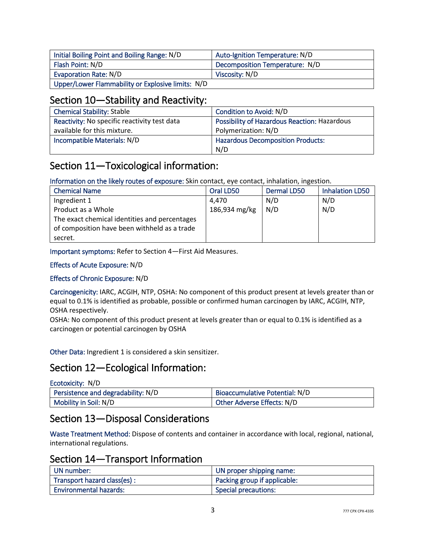| Initial Boiling Point and Boiling Range: N/D      | Auto-Ignition Temperature: N/D |
|---------------------------------------------------|--------------------------------|
| Flash Point: N/D                                  | Decomposition Temperature: N/D |
| Evaporation Rate: N/D                             | Viscosity: N/D                 |
| Upper/Lower Flammability or Explosive limits: N/D |                                |

## Section 10—Stability and Reactivity:

| <b>Chemical Stability: Stable</b>            | Condition to Avoid: N/D                      |
|----------------------------------------------|----------------------------------------------|
| Reactivity: No specific reactivity test data | Possibility of Hazardous Reaction: Hazardous |
| available for this mixture.                  | Polymerization: N/D                          |
| Incompatible Materials: N/D                  | <b>Hazardous Decomposition Products:</b>     |
|                                              | N/D                                          |

# Section 11—Toxicological information:

Information on the likely routes of exposure: Skin contact, eye contact, inhalation, ingestion.

| <b>Chemical Name</b>                          | Oral LD50     | Dermal LD50 | <b>Inhalation LD50</b> |
|-----------------------------------------------|---------------|-------------|------------------------|
| Ingredient 1                                  | 4.470         | N/D         | N/D                    |
| Product as a Whole                            | 186,934 mg/kg | N/D         | N/D                    |
| The exact chemical identities and percentages |               |             |                        |
| of composition have been withheld as a trade  |               |             |                        |
| secret.                                       |               |             |                        |

Important symptoms: Refer to Section 4—First Aid Measures.

#### Effects of Acute Exposure: N/D

#### Effects of Chronic Exposure: N/D

Carcinogenicity: IARC, ACGIH, NTP, OSHA: No component of this product present at levels greater than or equal to 0.1% is identified as probable, possible or confirmed human carcinogen by IARC, ACGIH, NTP, OSHA respectively.

OSHA: No component of this product present at levels greater than or equal to 0.1% is identified as a carcinogen or potential carcinogen by OSHA

Other Data: Ingredient 1 is considered a skin sensitizer.

## Section 12—Ecological Information:

| Ecotoxicity: N/D                   |                                |
|------------------------------------|--------------------------------|
| Persistence and degradability: N/D | Bioaccumulative Potential: N/D |
| Mobility in Soil: N/D              | Other Adverse Effects: N/D     |

## Section 13—Disposal Considerations

Waste Treatment Method: Dispose of contents and container in accordance with local, regional, national, international regulations.

## Section 14—Transport Information

| UN number:                    | UN proper shipping name:     |
|-------------------------------|------------------------------|
| Transport hazard class(es):   | Packing group if applicable: |
| <b>Environmental hazards:</b> | <b>Special precautions:</b>  |